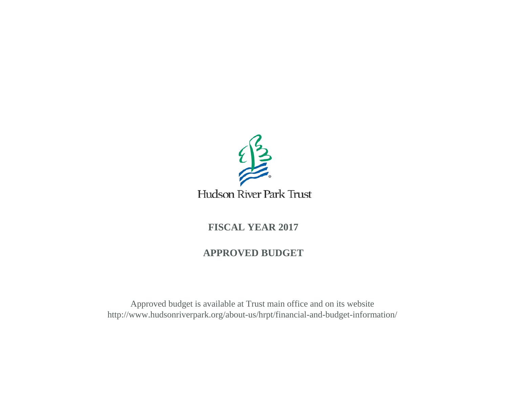

# Hudson River Park Trust

# **FISCAL YEAR 2017**

# **APPROVED BUDGET**

Approved budget is available at Trust main office and on its website http://www.hudsonriverpark.org/about-us/hrpt/financial-and-budget-information/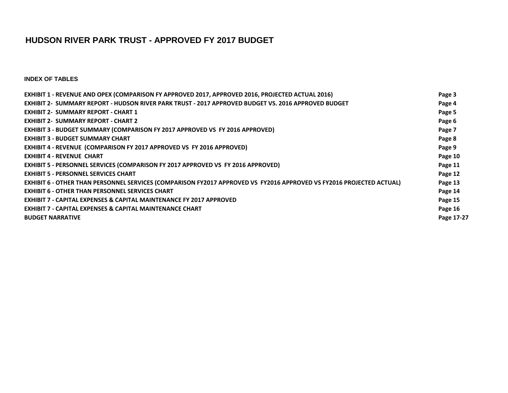# **HUDSON RIVER PARK TRUST - APPROVED FY 2017 BUDGET**

**INDEX OF TABLES**

| EXHIBIT 1 - REVENUE AND OPEX (COMPARISON FY APPROVED 2017, APPROVED 2016, PROJECTED ACTUAL 2016)                     | Page 3     |
|----------------------------------------------------------------------------------------------------------------------|------------|
| EXHIBIT 2- SUMMARY REPORT - HUDSON RIVER PARK TRUST - 2017 APPROVED BUDGET VS. 2016 APPROVED BUDGET                  | Page 4     |
| <b>EXHIBIT 2- SUMMARY REPORT - CHART 1</b>                                                                           | Page 5     |
| <b>EXHIBIT 2- SUMMARY REPORT - CHART 2</b>                                                                           | Page 6     |
| <b>EXHIBIT 3 - BUDGET SUMMARY (COMPARISON FY 2017 APPROVED VS FY 2016 APPROVED)</b>                                  | Page 7     |
| <b>EXHIBIT 3 - BUDGET SUMMARY CHART</b>                                                                              | Page 8     |
| <b>EXHIBIT 4 - REVENUE (COMPARISON FY 2017 APPROVED VS FY 2016 APPROVED)</b>                                         | Page 9     |
| <b>EXHIBIT 4 - REVENUE CHART</b>                                                                                     | Page 10    |
| <b>EXHIBIT 5 - PERSONNEL SERVICES (COMPARISON FY 2017 APPROVED VS FY 2016 APPROVED)</b>                              | Page 11    |
| <b>EXHIBIT 5 - PERSONNEL SERVICES CHART</b>                                                                          | Page 12    |
| EXHIBIT 6 - OTHER THAN PERSONNEL SERVICES (COMPARISON FY2017 APPROVED VS FY2016 APPROVED VS FY2016 PROJECTED ACTUAL) | Page 13    |
| <b>EXHIBIT 6 - OTHER THAN PERSONNEL SERVICES CHART</b>                                                               | Page 14    |
| <b>EXHIBIT 7 - CAPITAL EXPENSES &amp; CAPITAL MAINTENANCE FY 2017 APPROVED</b>                                       | Page 15    |
| <b>EXHIBIT 7 - CAPITAL EXPENSES &amp; CAPITAL MAINTENANCE CHART</b>                                                  | Page 16    |
| <b>BUDGET NARRATIVE</b>                                                                                              | Page 17-27 |
|                                                                                                                      |            |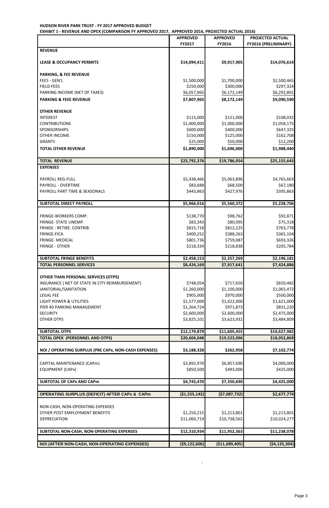# **HUDSON RIVER PARK TRUST - FY 2017 APPROVED BUDGET**

**EXHIBIT 1 - REVENUE AND OPEX (COMPARISON FY APPROVED 2017, APPROVED 2016, PROJECTED ACTUAL 2016)**

|                                                                                               | <b>APPROVED</b><br>FY2017 | <b>APPROVED</b><br>FY2016 | PROJECTED ACTUAL<br>FY2016 (PRELIMINARY) |
|-----------------------------------------------------------------------------------------------|---------------------------|---------------------------|------------------------------------------|
| <b>REVENUE</b>                                                                                |                           |                           |                                          |
|                                                                                               |                           |                           |                                          |
| <b>LEASE &amp; OCCUPANCY PERMITS</b>                                                          | \$14,094,411              | \$9,917,905               | \$14,076,614                             |
|                                                                                               |                           |                           |                                          |
| <b>PARKING, &amp; FEE REVENUE</b>                                                             |                           |                           |                                          |
| FEES - GEN'L                                                                                  | \$1,500,000               | \$1,700,000               | \$2,500,465                              |
| <b>FIELD FEES</b>                                                                             | \$250,000                 | \$300,000                 | \$297,324                                |
| PARKING INCOME (NET OF TAXES)                                                                 | \$6,057,965               | \$6,172,149               | \$6,292,801                              |
| <b>PARKING &amp; FEEE REVENUE</b>                                                             | \$7,807,965               | \$8,172,149               | \$9,090,590                              |
|                                                                                               |                           |                           |                                          |
| <b>OTHER REVENUE</b><br><b>INTEREST</b>                                                       | \$115,000                 | \$121,000                 | \$108,032                                |
| <b>CONTRIBUTIONS</b>                                                                          | \$1,000,000               | \$1,000,000               | \$1,058,175                              |
| SPONSORSHIPS                                                                                  | \$600,000                 | \$400,000                 | \$647,325                                |
| <b>OTHER INCOME</b>                                                                           | \$150,000                 | \$125,000                 | \$162,708                                |
| <b>GRANTS</b>                                                                                 | \$25,000                  | \$50,000                  | \$12,200                                 |
| <b>TOTAL OTHER REVENUE</b>                                                                    | \$1,890,000               | \$1,696,000               | \$1,988,440                              |
|                                                                                               |                           |                           |                                          |
| <b>TOTAL REVENUE</b>                                                                          | \$23,792,376              | \$19,786,054              | \$25,155,643                             |
| <b>EXPENSES</b>                                                                               |                           |                           |                                          |
|                                                                                               |                           |                           |                                          |
| <b>PAYROLL REG-FULL</b>                                                                       | \$5,438,466               | \$5,063,896               | \$4,765,663                              |
| PAYROLL - OVERTIME                                                                            | \$83,688                  | \$68,500                  | \$67,180                                 |
| PAYROLL PART TIME & SEASONALS                                                                 | \$443,863                 | \$427,976                 | \$395,863                                |
| <b>SUBTOTAL DIRECT PAYROLL</b>                                                                |                           |                           |                                          |
|                                                                                               | \$5,966,016               | \$5,560,372               | \$5,228,706                              |
| FRINGE-WORKERS COMP.                                                                          | \$138,770                 | \$98,762                  | \$92,871                                 |
| FRINGE- STATE UNEMP.                                                                          | \$83,343                  | \$80,095                  | \$75,318                                 |
| FRINGE - RETIRE. CONTRIB.                                                                     | \$815,718                 | \$812,225                 | \$763,778                                |
| <b>FRINGE-FICA</b>                                                                            | \$400,252                 | \$388,263                 | \$365,104                                |
| FRINGE- MEDICAL                                                                               | \$801,736                 | \$759,087                 | \$693,326                                |
| <b>FRINGE - OTHER</b>                                                                         | \$218,334                 | \$218,838                 | \$205,784                                |
|                                                                                               |                           |                           |                                          |
| <b>SUBTOTAL FRINGE BENEFITS</b>                                                               | \$2,458,153               | \$2,357,269               | \$2,196,181                              |
| <b>TOTAL PERSONNEL SERVICES</b>                                                               | \$8,424,169               | \$7,917,641               | \$7,424,886                              |
|                                                                                               |                           |                           |                                          |
| <b>OTHER THAN PERSONAL SERVICES (OTPS)</b><br>INSURANCE ( NET OF STATE IN CITY REIMBURSEMENT) | \$748,054                 | \$717,650                 | \$650,482                                |
| JANITORIAL/SANITATION                                                                         | \$1,260,000               | \$1,100,000               | \$1,065,472                              |
| <b>LEGAL FEE</b>                                                                              | \$905,000                 | \$970,000                 | \$500,000                                |
| <b>LIGHT POWER &amp; UTILITIES</b>                                                            | \$1,577,000               | \$1,622,000               | \$1,621,000                              |
| PIER 40 PARKING MANAGEMENT                                                                    | \$1,264,724               | \$971,873                 | \$831,220                                |
| <b>SECURITY</b>                                                                               | \$2,600,000               | \$2,600,000               | \$2,475,000                              |
| <b>OTHER OTPS</b>                                                                             | \$3,825,101               | \$3,623,932               | \$3,484,809                              |
|                                                                                               |                           |                           |                                          |
| <b>SUBTOTAL OTPS</b>                                                                          | \$12,179,879              | \$11,605,455              | \$10,627,982                             |
| <b>TOTAL OPEX (PERSONNEL AND OTPS)</b>                                                        | \$20,604,048              | \$19,523,096              | \$18,052,869                             |
| NOI / OPERATING SURPLUS (PRE CAPx, NON-CASH EXPENSES)                                         | \$3,188,328               | \$262,958                 | \$7,102,774                              |
|                                                                                               |                           |                           |                                          |
| CAPITAL MAINTENANCE (CAPm)                                                                    | \$3,892,970               | \$6,857,690               | \$4,000,000                              |
| <b>EQUIPMENT (CAPx)</b>                                                                       | \$850,500                 | \$493,000                 | \$425,000                                |
|                                                                                               |                           |                           |                                          |
| <b>SUBTOTAL OF CAPx AND CAPm</b>                                                              | \$4,743,470               | \$7,350,690               | \$4,425,000                              |
|                                                                                               |                           |                           |                                          |
| <b>OPERATING SURPLUS (DEFICIT) AFTER CAPX &amp; CAPM</b>                                      | (\$1,555,142)             | (57,087,732)              | \$2,677,774                              |
|                                                                                               |                           |                           |                                          |
| NON-CASH, NON-OPERATING EXPENSES                                                              |                           |                           |                                          |
| OTHER POST EMPLOYMENT BENEFITS                                                                | \$1,250,215               | \$1,213,801               | \$1,213,801                              |
| <b>DEPRECIATION</b>                                                                           | \$11,060,719              | \$10,738,562              | \$10,024,277                             |
|                                                                                               |                           |                           |                                          |
| SUBTOTAL NON-CASH, NON-OPERATING EXPENSES                                                     | \$12,310,934              | \$11,952,363              | \$11,238,078                             |
|                                                                                               |                           |                           |                                          |
| NOI (AFTER NON-CASH, NON-OPERATING EXPENSES)                                                  | ( \$9,122,606)            | (\$11,689,405)            | ( \$4,135,304)                           |

-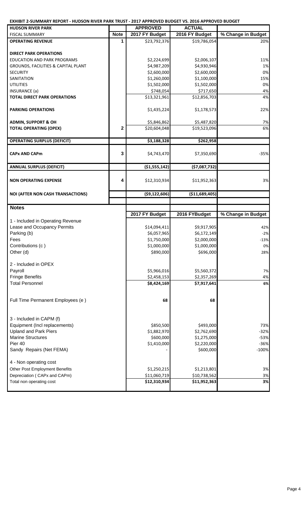**EXHIBIT 2-SUMMARY REPORT - HUDSON RIVER PARK TRUST - 2017 APPROVED BUDGET VS. 2016 APPROVED BUDGET**

| <b>HUDSON RIVER PARK</b>                                 |             | <b>APPROVED</b>              | <b>ACTUAL</b>                |                    |
|----------------------------------------------------------|-------------|------------------------------|------------------------------|--------------------|
| <b>FISCAL SUMMARY</b>                                    | <b>Note</b> | 2017 FY Budget               | 2016 FY Budget               | % Change in Budget |
| <b>OPERATING REVENUE</b>                                 | 1           | \$23,792,376                 | \$19,786,054                 | 20%                |
|                                                          |             |                              |                              |                    |
| <b>DIRECT PARK OPERATIONS</b>                            |             |                              |                              |                    |
| <b>EDUCATION AND PARK PROGRAMS</b>                       |             | \$2,224,699                  | \$2,006,107                  | 11%                |
| GROUNDS, FACILITIES & CAPITAL PLANT                      |             | \$4,987,209                  | \$4,930,946                  | 1%                 |
| <b>SECURITY</b>                                          |             | \$2,600,000                  | \$2,600,000                  | 0%                 |
| SANITATION                                               |             | \$1,260,000                  | \$1,100,000                  | 15%                |
| <b>UTILITIES</b>                                         |             | \$1,502,000                  | \$1,502,000                  | 0%                 |
| <b>INSURANCE</b> (a)                                     |             | \$748,054                    | \$717,650                    | 4%<br>4%           |
| <b>TOTAL DIRECT PARK OPERATIONS</b>                      |             | \$13,321,961                 | \$12,856,703                 |                    |
| <b>PARKING OPERATIONS</b>                                |             | \$1,435,224                  | \$1,178,573                  | 22%                |
| <b>ADMIN, SUPPORT &amp; OH</b>                           |             | \$5,846,862                  | \$5,487,820                  | 7%                 |
| <b>TOTAL OPERATING (OPEX)</b>                            | $\mathbf 2$ | \$20,604,048                 | \$19,523,096                 | 6%                 |
|                                                          |             |                              |                              |                    |
| <b>OPERATING SURPLUS (DEFICIT)</b>                       |             | \$3,188,328                  | \$262,958                    |                    |
|                                                          |             |                              |                              |                    |
| <b>CAPx AND CAPm</b>                                     | 3           | \$4,743,470                  | \$7,350,690                  | $-35%$             |
| <b>ANNUAL SURPLUS (DEFICIT)</b>                          |             | ( \$1,555,142)               | ( \$7,087,732)               |                    |
|                                                          |             |                              |                              |                    |
| <b>NON OPERATING EXPENSE</b>                             | 4           | \$12,310,934                 | \$11,952,363                 | 3%                 |
| <b>NOI (AFTER NON CASH TRANSACTIONS)</b>                 |             | ( \$9,122,606)               | (\$11,689,405)               |                    |
|                                                          |             |                              |                              |                    |
|                                                          |             |                              |                              |                    |
| <b>Notes</b>                                             |             |                              |                              |                    |
|                                                          |             | 2017 FY Budget               | 2016 FYBudget                | % Change in Budget |
| 1 - Included in Operating Revenue                        |             |                              |                              |                    |
| Lease and Occupancy Permits                              |             | \$14,094,411                 | \$9,917,905                  | 42%                |
| Parking (b)                                              |             | \$6,057,965                  | \$6,172,149                  | $-2%$              |
| Fees                                                     |             | \$1,750,000                  | \$2,000,000                  | $-13%$             |
| Contributions (c)                                        |             | \$1,000,000                  | \$1,000,000                  | 0%                 |
| Other (d)                                                |             | \$890,000                    | \$696,000                    | 28%                |
|                                                          |             |                              |                              |                    |
| 2 - Included in OPEX                                     |             |                              |                              |                    |
| Payroll                                                  |             | \$5,966,016                  | \$5,560,372                  | 7%                 |
| <b>Fringe Benefits</b>                                   |             | \$2,458,153                  | \$2,357,269                  | 4%                 |
| <b>Total Personnel</b>                                   |             | \$8,424,169                  | \$7,917,641                  | 6%                 |
|                                                          |             |                              |                              |                    |
| Full Time Permanent Employees (e)                        |             | 68                           | 68                           |                    |
|                                                          |             |                              |                              |                    |
|                                                          |             |                              |                              |                    |
| 3 - Included in CAPM (f)                                 |             |                              |                              |                    |
| Equipment (Incl replacements)                            |             | \$850,500                    | \$493,000                    | 73%                |
| <b>Upland and Park Piers</b>                             |             | \$1,882,970                  | \$2,762,690                  | $-32%$             |
| <b>Marine Structures</b>                                 |             | \$600,000                    | \$1,275,000                  | $-53%$             |
| Pier 40                                                  |             | \$1,410,000                  | \$2,220,000                  | $-36%$             |
| Sandy Repairs (Net FEMA)                                 |             |                              | \$600,000                    | $-100%$            |
| 4 - Non operating cost                                   |             |                              |                              |                    |
|                                                          |             |                              |                              |                    |
| <b>Other Post Employment Benefits</b>                    |             | \$1,250,215                  | \$1,213,801                  | 3%<br>3%           |
| Depreciation (CAPx and CAPm)<br>Total non operating cost |             | \$11,060,719<br>\$12,310,934 | \$10,738,562<br>\$11,952,363 | 3%                 |

ı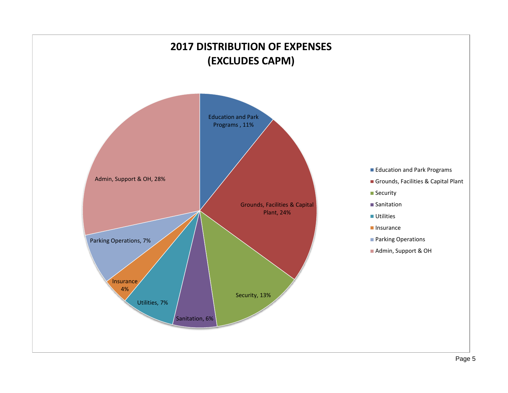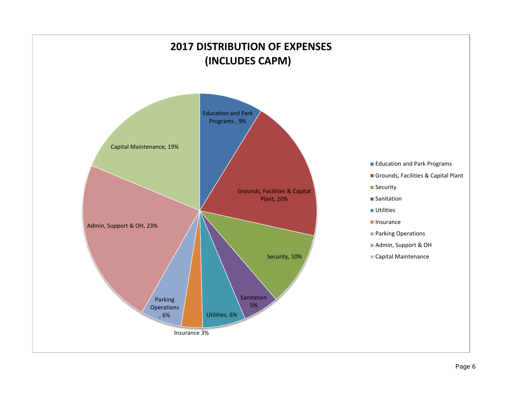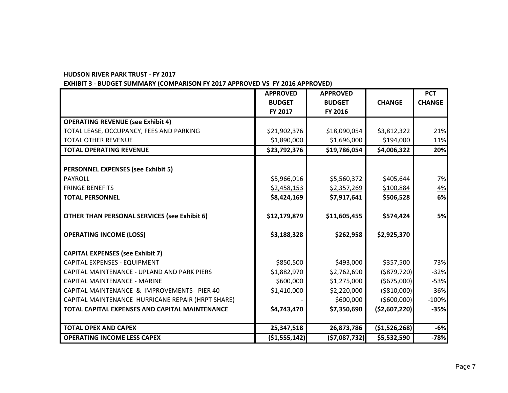#### **HUDSON RIVER PARK TRUST - FY 2017**

**EXHIBIT 3 - BUDGET SUMMARY (COMPARISON FY 2017 APPROVED VS FY 2016 APPROVED)**

|                                                                                      | <b>APPROVED</b>          | <b>APPROVED</b>          |                | <b>PCT</b>    |
|--------------------------------------------------------------------------------------|--------------------------|--------------------------|----------------|---------------|
|                                                                                      | <b>BUDGET</b><br>FY 2017 | <b>BUDGET</b><br>FY 2016 | <b>CHANGE</b>  | <b>CHANGE</b> |
|                                                                                      |                          |                          |                |               |
| <b>OPERATING REVENUE (see Exhibit 4)</b><br>TOTAL LEASE, OCCUPANCY, FEES AND PARKING |                          |                          |                |               |
| <b>TOTAL OTHER REVENUE</b>                                                           | \$21,902,376             | \$18,090,054             | \$3,812,322    | 21%           |
|                                                                                      | \$1,890,000              | \$1,696,000              | \$194,000      | 11%           |
| <b>TOTAL OPERATING REVENUE</b>                                                       | \$23,792,376             | \$19,786,054             | \$4,006,322    | 20%           |
| <b>PERSONNEL EXPENSES (see Exhibit 5)</b>                                            |                          |                          |                |               |
| <b>PAYROLL</b>                                                                       | \$5,966,016              | \$5,560,372              | \$405,644      | 7%            |
| <b>FRINGE BENEFITS</b>                                                               | \$2,458,153              | \$2,357,269              | \$100,884      | <u>4%</u>     |
| <b>TOTAL PERSONNEL</b>                                                               | \$8,424,169              | \$7,917,641              | \$506,528      | 6%            |
|                                                                                      |                          |                          |                |               |
| <b>OTHER THAN PERSONAL SERVICES (see Exhibit 6)</b>                                  | \$12,179,879             | \$11,605,455             | \$574,424      | 5%            |
| <b>OPERATING INCOME (LOSS)</b>                                                       | \$3,188,328              | \$262,958                | \$2,925,370    |               |
| <b>CAPITAL EXPENSES (see Exhibit 7)</b>                                              |                          |                          |                |               |
| CAPITAL EXPENSES - EQUIPMENT                                                         | \$850,500                | \$493,000                | \$357,500      | 73%           |
| CAPITAL MAINTENANCE - UPLAND AND PARK PIERS                                          | \$1,882,970              | \$2,762,690              | ( \$879, 720)  | $-32%$        |
| <b>CAPITAL MAINTENANCE - MARINE</b>                                                  | \$600,000                | \$1,275,000              | (\$675,000)    | $-53%$        |
| CAPITAL MAINTENANCE & IMPROVEMENTS- PIER 40                                          | \$1,410,000              | \$2,220,000              | ( \$810,000)   | $-36%$        |
| CAPITAL MAINTENANCE HURRICANE REPAIR (HRPT SHARE)                                    |                          | \$600,000                | (5600,000)     | $-100%$       |
| TOTAL CAPITAL EXPENSES AND CAPITAL MAINTENANCE                                       | \$4,743,470              | \$7,350,690              | ( \$2,607,220] | $-35%$        |
|                                                                                      |                          |                          |                |               |
| <b>TOTAL OPEX AND CAPEX</b>                                                          | 25,347,518               | 26,873,786               | (\$1,526,268)  | $-6%$         |
| <b>OPERATING INCOME LESS CAPEX</b>                                                   | (\$1,555,142)            | ( \$7,087,732)           | \$5,532,590    | $-78%$        |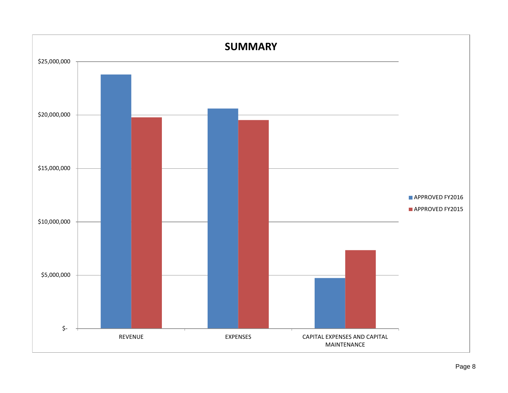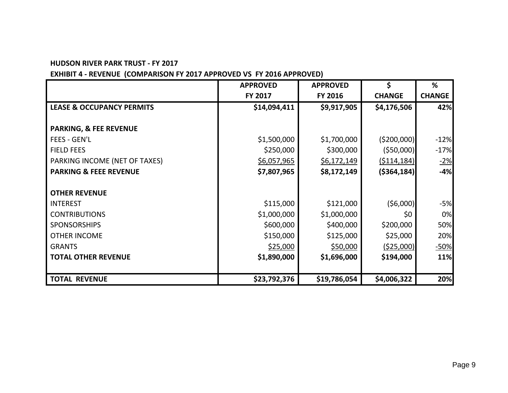#### **HUDSON RIVER PARK TRUST - FY 2017**

# **EXHIBIT 4 - REVENUE (COMPARISON FY 2017 APPROVED VS FY 2016 APPROVED)**

|                                      | <b>APPROVED</b> | <b>APPROVED</b> | \$            | %             |
|--------------------------------------|-----------------|-----------------|---------------|---------------|
|                                      | FY 2017         | FY 2016         | <b>CHANGE</b> | <b>CHANGE</b> |
| <b>LEASE &amp; OCCUPANCY PERMITS</b> | \$14,094,411    | \$9,917,905     | \$4,176,506   | 42%           |
|                                      |                 |                 |               |               |
| <b>PARKING, &amp; FEE REVENUE</b>    |                 |                 |               |               |
| <b>FEES - GEN'L</b>                  | \$1,500,000     | \$1,700,000     | ( \$200,000]  | $-12%$        |
| <b>FIELD FEES</b>                    | \$250,000       | \$300,000       | ( \$50,000]   | $-17%$        |
| PARKING INCOME (NET OF TAXES)        | \$6,057,965     | \$6,172,149     | (5114, 184)   | $-2%$         |
| <b>PARKING &amp; FEEE REVENUE</b>    | \$7,807,965     | \$8,172,149     | ( \$364, 184] | $-4%$         |
|                                      |                 |                 |               |               |
| <b>OTHER REVENUE</b>                 |                 |                 |               |               |
| <b>INTEREST</b>                      | \$115,000       | \$121,000       | (56,000)      | $-5%$         |
| <b>CONTRIBUTIONS</b>                 | \$1,000,000     | \$1,000,000     | \$0           | 0%            |
| <b>SPONSORSHIPS</b>                  | \$600,000       | \$400,000       | \$200,000     | 50%           |
| <b>OTHER INCOME</b>                  | \$150,000       | \$125,000       | \$25,000      | 20%           |
| <b>GRANTS</b>                        | \$25,000        | \$50,000        | ( \$25,000)   | $-50%$        |
| <b>TOTAL OTHER REVENUE</b>           | \$1,890,000     | \$1,696,000     | \$194,000     | 11%           |
|                                      |                 |                 |               |               |
| <b>TOTAL REVENUE</b>                 | \$23,792,376    | \$19,786,054    | \$4,006,322   | 20%           |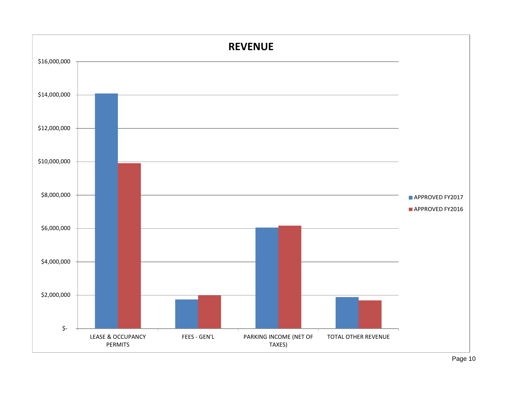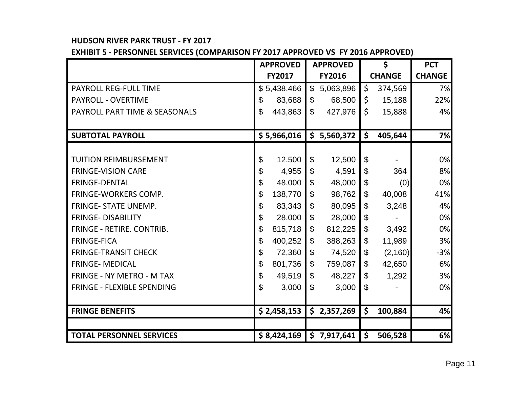# **HUDSON RIVER PARK TRUST - FY 2017**

**EXHIBIT 5 - PERSONNEL SERVICES (COMPARISON FY 2017 APPROVED VS FY 2016 APPROVED)**

|                                   | <b>APPROVED</b> |               | <b>APPROVED</b>           |               | \$                        |               | <b>PCT</b>    |
|-----------------------------------|-----------------|---------------|---------------------------|---------------|---------------------------|---------------|---------------|
|                                   |                 | <b>FY2017</b> |                           | <b>FY2016</b> |                           | <b>CHANGE</b> | <b>CHANGE</b> |
| <b>PAYROLL REG-FULL TIME</b>      |                 | \$5,438,466   | $\mathfrak{L}$            | 5,063,896     | $\zeta$                   | 374,569       | 7%            |
| <b>PAYROLL - OVERTIME</b>         | \$              | 83,688        | \$                        | 68,500        | \$                        | 15,188        | 22%           |
| PAYROLL PART TIME & SEASONALS     | \$              | 443,863       | $\mathfrak{S}$            | 427,976       | $\zeta$                   | 15,888        | 4%            |
|                                   |                 |               |                           |               |                           |               |               |
| <b>SUBTOTAL PAYROLL</b>           |                 | \$5,966,016   | \$                        | 5,560,372     | \$                        | 405,644       | 7%            |
|                                   |                 |               |                           |               |                           |               |               |
| <b>TUITION REIMBURSEMENT</b>      | \$              | 12,500        | $\boldsymbol{\mathsf{S}}$ | 12,500        | $\boldsymbol{\mathsf{S}}$ |               | 0%            |
| <b>FRINGE-VISION CARE</b>         | \$              | 4,955         | $\boldsymbol{\mathsf{S}}$ | 4,591         | $\boldsymbol{\mathsf{S}}$ | 364           | 8%            |
| <b>FRINGE-DENTAL</b>              | \$              | 48,000        | $\mathfrak{L}$            | 48,000        | \$                        | (0)           | 0%            |
| <b>FRINGE-WORKERS COMP.</b>       | \$              | 138,770       | $\mathfrak{L}$            | 98,762        | $\boldsymbol{\mathsf{S}}$ | 40,008        | 41%           |
| <b>FRINGE- STATE UNEMP.</b>       | \$              | 83,343        | $\mathfrak{L}$            | 80,095        | \$                        | 3,248         | 4%            |
| <b>FRINGE- DISABILITY</b>         | \$              | 28,000        | $\mathfrak{L}$            | 28,000        | $\mathfrak{S}$            |               | 0%            |
| FRINGE - RETIRE. CONTRIB.         | \$              | 815,718       | $\mathfrak{L}$            | 812,225       | $\boldsymbol{\mathsf{S}}$ | 3,492         | 0%            |
| <b>FRINGE-FICA</b>                | \$              | 400,252       | $\mathfrak{S}$            | 388,263       | $\mathfrak{S}$            | 11,989        | 3%            |
| <b>FRINGE-TRANSIT CHECK</b>       | \$              | 72,360        | \$                        | 74,520        | \$                        | (2,160)       | $-3%$         |
| <b>FRINGE- MEDICAL</b>            | \$              | 801,736       | $\mathfrak{L}$            | 759,087       | \$                        | 42,650        | 6%            |
| FRINGE - NY METRO - M TAX         | \$              | 49,519        | $\mathfrak{L}$            | 48,227        | \$                        | 1,292         | 3%            |
| <b>FRINGE - FLEXIBLE SPENDING</b> | \$              | 3,000         | $\mathfrak{L}$            | 3,000         | \$                        |               | 0%            |
|                                   |                 |               |                           |               |                           |               |               |
| <b>FRINGE BENEFITS</b>            |                 | \$2,458,153   | \$                        | 2,357,269     | \$                        | 100,884       | 4%            |
|                                   |                 |               |                           |               |                           |               |               |
| <b>TOTAL PERSONNEL SERVICES</b>   |                 | \$8,424,169   | \$                        | 7,917,641     | \$                        | 506,528       | 6%            |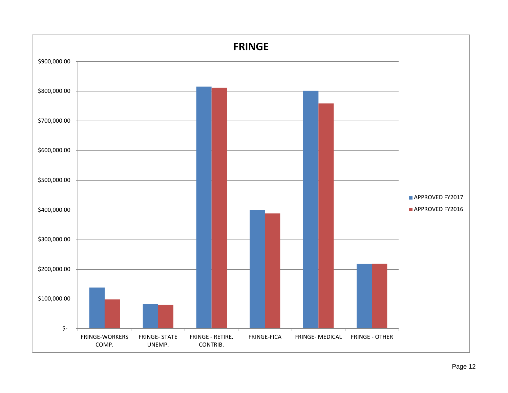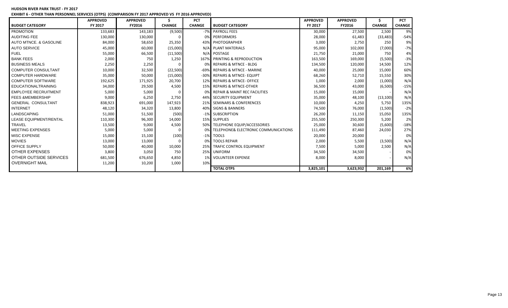| <b>HUDSON RIVER PARK TRUST - FY 2017</b> |                                                                                                    |
|------------------------------------------|----------------------------------------------------------------------------------------------------|
|                                          | EXHIBIT 6 - OTHER THAN PERSONNEL SERVICES (OTPS) (COMPARISON FY 2017 APPROVED VS FY 2016 APPROVED) |

|                               | <b>APPROVED</b> | <b>APPROVED</b> |               | <b>PCT</b>    |                                         | <b>APPROVED</b> | <b>APPROVED</b> |               | <b>PCT</b>    |
|-------------------------------|-----------------|-----------------|---------------|---------------|-----------------------------------------|-----------------|-----------------|---------------|---------------|
| <b>BUDGET CATEGORY</b>        | FY 2017         | FY2016          | <b>CHANGE</b> | <b>CHANGE</b> | <b>BUDGET CATEGORY</b>                  | FY 2017         | FY2016          | <b>CHANGE</b> | <b>CHANGE</b> |
| PROMOTION                     | 133,683         | 143,183         | (9,500)       |               | -7% PAYROLL FEES                        | 30,000          | 27,500          | 2,500         | 9%            |
| <b>AUDITING FEE</b>           | 130,000         | 130,000         |               |               | 0% PERFORMERS                           | 28,000          | 61,483          | (33, 483)     | $-54%$        |
| AUTO MTNCE, & GASOLINE        | 84,000          | 58,650          | 25,350        |               | 43% PHOTOGRAPHER                        | 3,000           | 2,750           | 250           | 9%            |
| <b>AUTO SERVICE</b>           | 45,000          | 60,000          | (15,000)      |               | N/A PLANT MATERIALS                     | 95,000          | 102,000         | (7,000)       | $-7%$         |
| <b>FUEL</b>                   | 55,000          | 66,500          | (11,500)      |               | N/A POSTAGE                             | 21,750          | 21,000          | 750           | 4%            |
| <b>BANK FEES</b>              | 2,000           | 750             | 1,250         |               | 167% PRINTING & REPRODUCTION            | 163,500         | 169,000         | (5,500)       | $-3%$         |
| <b>BUSINESS MEALS</b>         | 2,250           | 2,250           |               |               | 0% REPAIRS & MTNCE - BLDG               | 134,500         | 120,000         | 14,500        | 12%           |
| <b>COMPUTER CONSULTANT</b>    | 10,000          | 32,500          | (22,500)      |               | -69% REPAIRS & MTNCE - MARINE           | 40,000          | 25,000          | 15,000        | 60%           |
| <b>COMPUTER HARDWARE</b>      | 35,000          | 50,000          | (15,000)      |               | -30% REPAIRS & MTNCE-EQUIPT             | 68,260          | 52,710          | 15,550        | 30%           |
| <b>COMPUTER SOFTWARE</b>      | 192,625         | 171,925         | 20,700        |               | 12% REPAIRS & MTNCE- OFFICE             | 1,000           | 2,000           | (1,000)       | N/A           |
| <b>EDUCATIONALTRAINING</b>    | 34,000          | 29,500          | 4,500         |               | 15% REPAIRS & MTNCE-OTHER               | 36,500          | 43,000          | (6,500)       | $-15%$        |
| <b>EMPLOYEE RECRUITMENT</b>   | 5,000           | 5,000           | $\Omega$      |               | 0% REPAIR & MAINT REC FACILITIES        | 15,000          | 15,000          |               | N/A           |
| <b>FEES &amp;MEMBERSHIP</b>   | 9,000           | 6,250           | 2,750         |               | 44% SECURITY EQUIPMENT                  | 35,000          | 48,100          | (13, 100)     | N/A           |
| <b>GENERAL CONSULTANT</b>     | 838,923         | 691,000         | 147,923       |               | 21% SEMINARS & CONFERENCES              | 10,000          | 4,250           | 5,750         | 135%          |
| <b>INTERNET</b>               | 48,120          | 34,320          | 13,800        |               | 40% SIGNS & BANNERS                     | 74,500          | 76,000          | (1,500)       | $-2%$         |
| LANDSCAPING                   | 51,000          | 51,500          | (500)         |               | -1% SUBSCRIPTION                        | 26,200          | 11,150          | 15,050        | 135%          |
| <b>LEASE EQUIPMENT/RENTAL</b> | 110,300         | 96,300          | 14,000        |               | 15% SUPPLIES                            | 255,500         | 250,300         | 5,200         | 2%            |
| <b>TRAVEL</b>                 | 13,500          | 9,000           | 4,500         |               | 50% TELEPHONE EQUIP/ACCESSORIES         | 25,000          | 30,600          | (5,600)       | $-18%$        |
| <b>MEETING EXPENSES</b>       | 5,000           | 5,000           |               |               | 0% TELEPHONE& ELECTRONIC COMMUNICATIONS | 111,490         | 87,460          | 24,030        | 27%           |
| <b>MISC EXPENSE</b>           | 15,000          | 15,100          | (100)         |               | $-1\%$ TOOLS                            | 20,000          | 20,000          |               | 0%            |
| <b>MOVIES</b>                 | 13,000          | 13,000          | $\Omega$      | 0%            | <b>TOOLS REPAIR</b>                     | 2,000           | 5,500           | (3,500)       | N/A           |
| <b>OFFICE SUPPLY</b>          | 50,000          | 40,000          | 10,000        |               | 25% TRAFIC CONTROL EQUIPMENT            | 7,500           | 5,000           | 2,500         | N/A           |
| <b>OTHER EXPENSES</b>         | 3,800           | 3,050           | 750           |               | 25% UNIFORM                             | 34,500          | 34,500          |               | 0%            |
| OTHER OUTSIDE SERVICES        | 681,500         | 676,650         | 4,850         |               | <b>1% VOLUNTEER EXPENSE</b>             | 8,000           | 8,000           |               | N/A           |
| <b>OVERNIGHT MAIL</b>         | 11,200          | 10,200          | 1,000         | 10%           |                                         |                 |                 |               |               |
|                               |                 |                 |               |               | <b>TOTAL OTPS</b>                       | 3,825,101       | 3,623,932       | 201,169       | 6%            |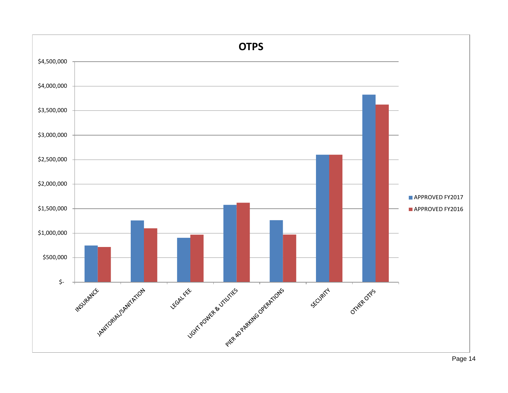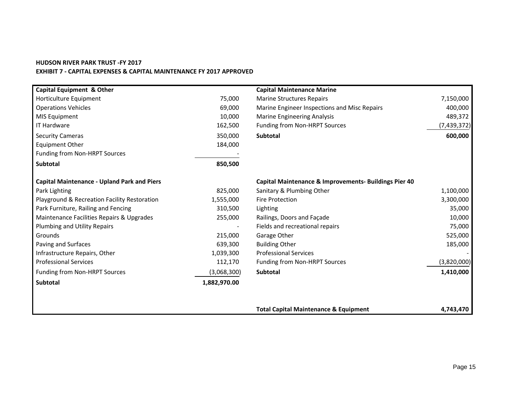| <b>HUDSON RIVER PARK TRUST -FY 2017</b>                                        |
|--------------------------------------------------------------------------------|
| <b>EXHIBIT 7 - CAPITAL EXPENSES &amp; CAPITAL MAINTENANCE FY 2017 APPROVED</b> |

|              | <b>Capital Maintenance Marine</b>            |                                                                                                                      |
|--------------|----------------------------------------------|----------------------------------------------------------------------------------------------------------------------|
| 75,000       | <b>Marine Structures Repairs</b>             | 7,150,000                                                                                                            |
| 69,000       | Marine Engineer Inspections and Misc Repairs | 400,000                                                                                                              |
| 10,000       | <b>Marine Engineering Analysis</b>           | 489,372                                                                                                              |
| 162,500      | Funding from Non-HRPT Sources                | (7,439,372)                                                                                                          |
| 350,000      | <b>Subtotal</b>                              | 600,000                                                                                                              |
| 184,000      |                                              |                                                                                                                      |
|              |                                              |                                                                                                                      |
| 850,500      |                                              |                                                                                                                      |
|              |                                              |                                                                                                                      |
| 825,000      | Sanitary & Plumbing Other                    | 1,100,000                                                                                                            |
| 1,555,000    | Fire Protection                              | 3,300,000                                                                                                            |
| 310,500      | Lighting                                     | 35,000                                                                                                               |
| 255,000      | Railings, Doors and Façade                   | 10,000                                                                                                               |
|              | Fields and recreational repairs              | 75,000                                                                                                               |
| 215,000      | Garage Other                                 | 525,000                                                                                                              |
| 639,300      | <b>Building Other</b>                        | 185,000                                                                                                              |
| 1,039,300    | <b>Professional Services</b>                 |                                                                                                                      |
| 112,170      | Funding from Non-HRPT Sources                | (3,820,000)                                                                                                          |
| (3,068,300)  | <b>Subtotal</b>                              | 1,410,000                                                                                                            |
| 1,882,970.00 |                                              |                                                                                                                      |
|              |                                              | 4,743,470                                                                                                            |
|              |                                              | <b>Capital Maintenance &amp; Improvements- Buildings Pier 40</b><br><b>Total Capital Maintenance &amp; Equipment</b> |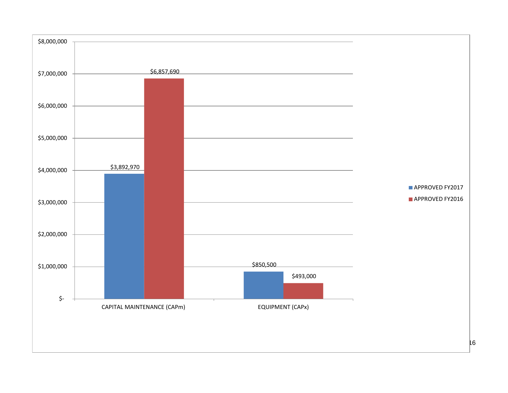

 $|16|$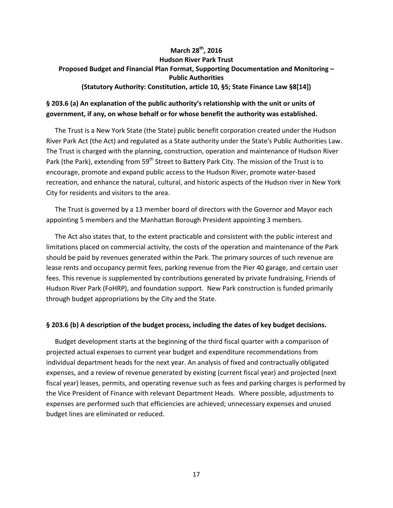#### **March 28th, 2016 Hudson River Park Trust Proposed Budget and Financial Plan Format, Supporting Documentation and Monitoring – Public Authorities (Statutory Authority: Constitution, article 10, §5; State Finance Law §8[14])**

#### **§ 203.6 (a) An explanation of the public authority's relationship with the unit or units of government, if any, on whose behalf or for whose benefit the authority was established.**

The Trust is a New York State (the State) public benefit corporation created under the Hudson River Park Act (the Act) and regulated as a State authority under the State's Public Authorities Law. The Trust is charged with the planning, construction, operation and maintenance of Hudson River Park (the Park), extending from 59<sup>th</sup> Street to Battery Park City. The mission of the Trust is to encourage, promote and expand public access to the Hudson River, promote water-based recreation, and enhance the natural, cultural, and historic aspects of the Hudson river in New York City for residents and visitors to the area.

The Trust is governed by a 13 member board of directors with the Governor and Mayor each appointing 5 members and the Manhattan Borough President appointing 3 members.

The Act also states that, to the extent practicable and consistent with the public interest and limitations placed on commercial activity, the costs of the operation and maintenance of the Park should be paid by revenues generated within the Park. The primary sources of such revenue are lease rents and occupancy permit fees, parking revenue from the Pier 40 garage, and certain user fees. This revenue is supplemented by contributions generated by private fundraising, Friends of Hudson River Park (FoHRP), and foundation support. New Park construction is funded primarily through budget appropriations by the City and the State.

#### **§ 203.6 (b) A description of the budget process, including the dates of key budget decisions.**

Budget development starts at the beginning of the third fiscal quarter with a comparison of projected actual expenses to current year budget and expenditure recommendations from individual department heads for the next year. An analysis of fixed and contractually obligated expenses, and a review of revenue generated by existing (current fiscal year) and projected (next fiscal year) leases, permits, and operating revenue such as fees and parking charges is performed by the Vice President of Finance with relevant Department Heads. Where possible, adjustments to expenses are performed such that efficiencies are achieved; unnecessary expenses and unused budget lines are eliminated or reduced.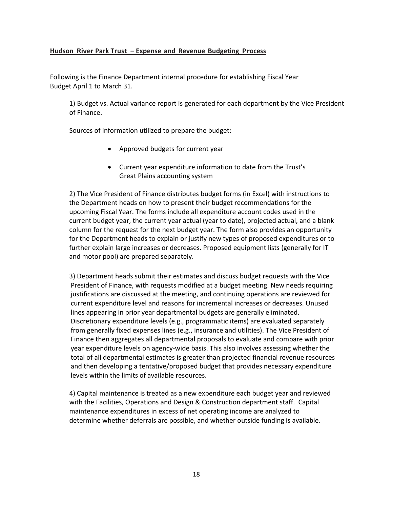#### **Hudson River Park Trust – Expense and Revenue Budgeting Process**

Following is the Finance Department internal procedure for establishing Fiscal Year Budget April 1 to March 31.

1) Budget vs. Actual variance report is generated for each department by the Vice President of Finance.

Sources of information utilized to prepare the budget:

- Approved budgets for current year
- Current year expenditure information to date from the Trust's Great Plains accounting system

2) The Vice President of Finance distributes budget forms (in Excel) with instructions to the Department heads on how to present their budget recommendations for the upcoming Fiscal Year. The forms include all expenditure account codes used in the current budget year, the current year actual (year to date), projected actual, and a blank column for the request for the next budget year. The form also provides an opportunity for the Department heads to explain or justify new types of proposed expenditures or to further explain large increases or decreases. Proposed equipment lists (generally for IT and motor pool) are prepared separately.

3) Department heads submit their estimates and discuss budget requests with the Vice President of Finance, with requests modified at a budget meeting. New needs requiring justifications are discussed at the meeting, and continuing operations are reviewed for current expenditure level and reasons for incremental increases or decreases. Unused lines appearing in prior year departmental budgets are generally eliminated. Discretionary expenditure levels (e.g., programmatic items) are evaluated separately from generally fixed expenses lines (e.g., insurance and utilities). The Vice President of Finance then aggregates all departmental proposals to evaluate and compare with prior year expenditure levels on agency-wide basis. This also involves assessing whether the total of all departmental estimates is greater than projected financial revenue resources and then developing a tentative/proposed budget that provides necessary expenditure levels within the limits of available resources.

4) Capital maintenance is treated as a new expenditure each budget year and reviewed with the Facilities, Operations and Design & Construction department staff. Capital maintenance expenditures in excess of net operating income are analyzed to determine whether deferrals are possible, and whether outside funding is available.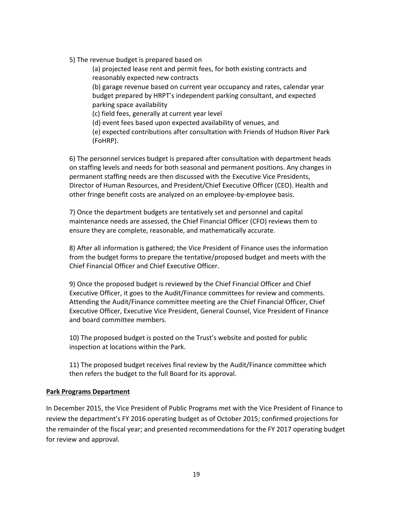5) The revenue budget is prepared based on

(a) projected lease rent and permit fees, for both existing contracts and reasonably expected new contracts

(b) garage revenue based on current year occupancy and rates, calendar year budget prepared by HRPT's independent parking consultant, and expected parking space availability

(c) field fees, generally at current year level

(d) event fees based upon expected availability of venues, and

(e) expected contributions after consultation with Friends of Hudson River Park (FoHRP).

6) The personnel services budget is prepared after consultation with department heads on staffing levels and needs for both seasonal and permanent positions. Any changes in permanent staffing needs are then discussed with the Executive Vice Presidents, Director of Human Resources, and President/Chief Executive Officer (CEO). Health and other fringe benefit costs are analyzed on an employee-by-employee basis.

7) Once the department budgets are tentatively set and personnel and capital maintenance needs are assessed, the Chief Financial Officer (CFO) reviews them to ensure they are complete, reasonable, and mathematically accurate.

8) After all information is gathered; the Vice President of Finance uses the information from the budget forms to prepare the tentative/proposed budget and meets with the Chief Financial Officer and Chief Executive Officer.

9) Once the proposed budget is reviewed by the Chief Financial Officer and Chief Executive Officer, it goes to the Audit/Finance committees for review and comments. Attending the Audit/Finance committee meeting are the Chief Financial Officer, Chief Executive Officer, Executive Vice President, General Counsel, Vice President of Finance and board committee members.

10) The proposed budget is posted on the Trust's website and posted for public inspection at locations within the Park.

11) The proposed budget receives final review by the Audit/Finance committee which then refers the budget to the full Board for its approval.

#### **Park Programs Department**

In December 2015, the Vice President of Public Programs met with the Vice President of Finance to review the department's FY 2016 operating budget as of October 2015; confirmed projections for the remainder of the fiscal year; and presented recommendations for the FY 2017 operating budget for review and approval.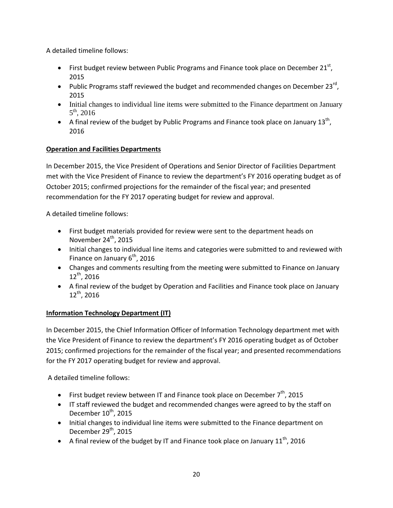A detailed timeline follows:

- First budget review between Public Programs and Finance took place on December  $21^{st}$ , 2015
- Public Programs staff reviewed the budget and recommended changes on December 23 $^{\text{rd}}$ , 2015
- Initial changes to individual line items were submitted to the Finance department on January  $5<sup>th</sup>$ , 2016
- A final review of the budget by Public Programs and Finance took place on January  $13^{th}$ , 2016

#### **Operation and Facilities Departments**

In December 2015, the Vice President of Operations and Senior Director of Facilities Department met with the Vice President of Finance to review the department's FY 2016 operating budget as of October 2015; confirmed projections for the remainder of the fiscal year; and presented recommendation for the FY 2017 operating budget for review and approval.

A detailed timeline follows:

- First budget materials provided for review were sent to the department heads on November  $24<sup>th</sup>$ , 2015
- Initial changes to individual line items and categories were submitted to and reviewed with Finance on January  $6<sup>th</sup>$ , 2016
- Changes and comments resulting from the meeting were submitted to Finance on January  $12^{th}$ , 2016
- A final review of the budget by Operation and Facilities and Finance took place on January  $12^{th}$ , 2016

# **Information Technology Department (IT)**

In December 2015, the Chief Information Officer of Information Technology department met with the Vice President of Finance to review the department's FY 2016 operating budget as of October 2015; confirmed projections for the remainder of the fiscal year; and presented recommendations for the FY 2017 operating budget for review and approval.

A detailed timeline follows:

- First budget review between IT and Finance took place on December  $7<sup>th</sup>$ , 2015
- IT staff reviewed the budget and recommended changes were agreed to by the staff on December 10<sup>th</sup>, 2015
- Initial changes to individual line items were submitted to the Finance department on December  $29<sup>th</sup>$ , 2015
- A final review of the budget by IT and Finance took place on January  $11^{th}$ , 2016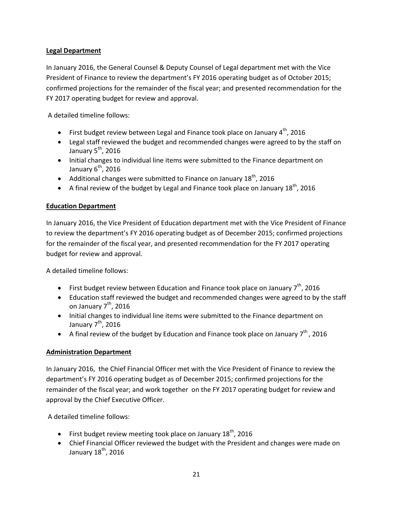#### **Legal Department**

In January 2016, the General Counsel & Deputy Counsel of Legal department met with the Vice President of Finance to review the department's FY 2016 operating budget as of October 2015; confirmed projections for the remainder of the fiscal year; and presented recommendation for the FY 2017 operating budget for review and approval.

A detailed timeline follows:

- First budget review between Legal and Finance took place on January  $4^{\text{th}}$ , 2016
- Legal staff reviewed the budget and recommended changes were agreed to by the staff on January  $5<sup>th</sup>$ , 2016
- Initial changes to individual line items were submitted to the Finance department on January  $6<sup>th</sup>$ , 2016
- Additional changes were submitted to Finance on January  $18^{th}$ , 2016
- A final review of the budget by Legal and Finance took place on January  $18^{th}$ , 2016

#### **Education Department**

In January 2016, the Vice President of Education department met with the Vice President of Finance to review the department's FY 2016 operating budget as of December 2015; confirmed projections for the remainder of the fiscal year, and presented recommendation for the FY 2017 operating budget for review and approval.

A detailed timeline follows:

- First budget review between Education and Finance took place on January  $7^{th}$ , 2016
- Education staff reviewed the budget and recommended changes were agreed to by the staff on January 7<sup>th</sup>, 2016
- Initial changes to individual line items were submitted to the Finance department on January  $7<sup>th</sup>$ , 2016
- A final review of the budget by Education and Finance took place on January  $7<sup>th</sup>$ , 2016

#### **Administration Department**

In January 2016, the Chief Financial Officer met with the Vice President of Finance to review the department's FY 2016 operating budget as of December 2015; confirmed projections for the remainder of the fiscal year; and work together on the FY 2017 operating budget for review and approval by the Chief Executive Officer.

A detailed timeline follows:

- First budget review meeting took place on January  $18^{th}$ , 2016
- Chief Financial Officer reviewed the budget with the President and changes were made on January 18<sup>th</sup>, 2016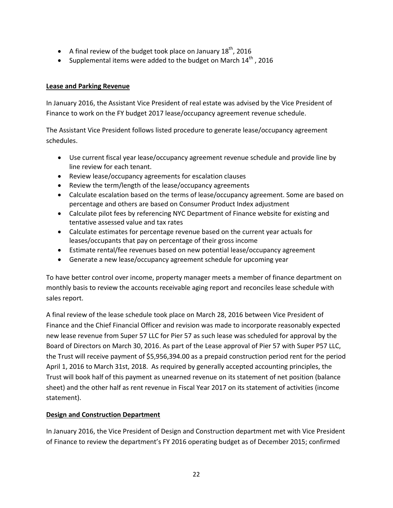- A final review of the budget took place on January  $18^{th}$ , 2016
- Supplemental items were added to the budget on March  $14^{\text{th}}$ , 2016

#### **Lease and Parking Revenue**

In January 2016, the Assistant Vice President of real estate was advised by the Vice President of Finance to work on the FY budget 2017 lease/occupancy agreement revenue schedule.

The Assistant Vice President follows listed procedure to generate lease/occupancy agreement schedules.

- Use current fiscal year lease/occupancy agreement revenue schedule and provide line by line review for each tenant.
- Review lease/occupancy agreements for escalation clauses
- Review the term/length of the lease/occupancy agreements
- Calculate escalation based on the terms of lease/occupancy agreement. Some are based on percentage and others are based on Consumer Product Index adjustment
- Calculate pilot fees by referencing NYC Department of Finance website for existing and tentative assessed value and tax rates
- Calculate estimates for percentage revenue based on the current year actuals for leases/occupants that pay on percentage of their gross income
- Estimate rental/fee revenues based on new potential lease/occupancy agreement
- Generate a new lease/occupancy agreement schedule for upcoming year

To have better control over income, property manager meets a member of finance department on monthly basis to review the accounts receivable aging report and reconciles lease schedule with sales report.

A final review of the lease schedule took place on March 28, 2016 between Vice President of Finance and the Chief Financial Officer and revision was made to incorporate reasonably expected new lease revenue from Super 57 LLC for Pier 57 as such lease was scheduled for approval by the Board of Directors on March 30, 2016. As part of the Lease approval of Pier 57 with Super P57 LLC, the Trust will receive payment of \$5,956,394.00 as a prepaid construction period rent for the period April 1, 2016 to March 31st, 2018. As required by generally accepted accounting principles, the Trust will book half of this payment as unearned revenue on its statement of net position (balance sheet) and the other half as rent revenue in Fiscal Year 2017 on its statement of activities (income statement).

#### **Design and Construction Department**

In January 2016, the Vice President of Design and Construction department met with Vice President of Finance to review the department's FY 2016 operating budget as of December 2015; confirmed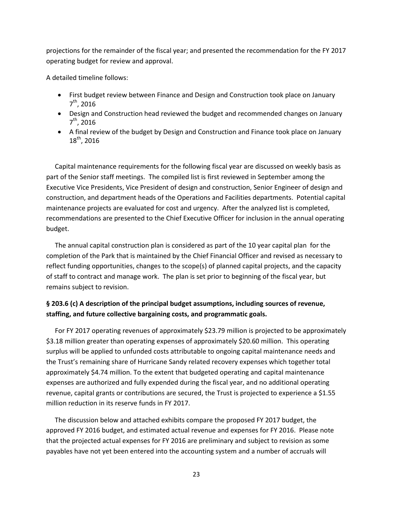projections for the remainder of the fiscal year; and presented the recommendation for the FY 2017 operating budget for review and approval.

A detailed timeline follows:

- First budget review between Finance and Design and Construction took place on January  $7<sup>th</sup>$ , 2016
- Design and Construction head reviewed the budget and recommended changes on January  $7^{th}$ , 2016
- A final review of the budget by Design and Construction and Finance took place on January 18<sup>th</sup>, 2016

Capital maintenance requirements for the following fiscal year are discussed on weekly basis as part of the Senior staff meetings. The compiled list is first reviewed in September among the Executive Vice Presidents, Vice President of design and construction, Senior Engineer of design and construction, and department heads of the Operations and Facilities departments. Potential capital maintenance projects are evaluated for cost and urgency. After the analyzed list is completed, recommendations are presented to the Chief Executive Officer for inclusion in the annual operating budget.

The annual capital construction plan is considered as part of the 10 year capital plan for the completion of the Park that is maintained by the Chief Financial Officer and revised as necessary to reflect funding opportunities, changes to the scope(s) of planned capital projects, and the capacity of staff to contract and manage work. The plan is set prior to beginning of the fiscal year, but remains subject to revision.

# **§ 203.6 (c) A description of the principal budget assumptions, including sources of revenue, staffing, and future collective bargaining costs, and programmatic goals.**

For FY 2017 operating revenues of approximately \$23.79 million is projected to be approximately \$3.18 million greater than operating expenses of approximately \$20.60 million. This operating surplus will be applied to unfunded costs attributable to ongoing capital maintenance needs and the Trust's remaining share of Hurricane Sandy related recovery expenses which together total approximately \$4.74 million. To the extent that budgeted operating and capital maintenance expenses are authorized and fully expended during the fiscal year, and no additional operating revenue, capital grants or contributions are secured, the Trust is projected to experience a \$1.55 million reduction in its reserve funds in FY 2017.

The discussion below and attached exhibits compare the proposed FY 2017 budget, the approved FY 2016 budget, and estimated actual revenue and expenses for FY 2016. Please note that the projected actual expenses for FY 2016 are preliminary and subject to revision as some payables have not yet been entered into the accounting system and a number of accruals will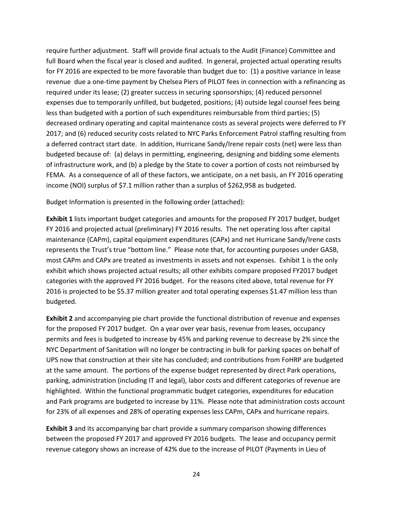require further adjustment. Staff will provide final actuals to the Audit (Finance) Committee and full Board when the fiscal year is closed and audited. In general, projected actual operating results for FY 2016 are expected to be more favorable than budget due to: (1) a positive variance in lease revenue due a one-time payment by Chelsea Piers of PILOT fees in connection with a refinancing as required under its lease; (2) greater success in securing sponsorships; (4) reduced personnel expenses due to temporarily unfilled, but budgeted, positions; (4) outside legal counsel fees being less than budgeted with a portion of such expenditures reimbursable from third parties; (5) decreased ordinary operating and capital maintenance costs as several projects were deferred to FY 2017; and (6) reduced security costs related to NYC Parks Enforcement Patrol staffing resulting from a deferred contract start date. In addition, Hurricane Sandy/Irene repair costs (net) were less than budgeted because of: (a) delays in permitting, engineering, designing and bidding some elements of infrastructure work, and (b) a pledge by the State to cover a portion of costs not reimbursed by FEMA. As a consequence of all of these factors, we anticipate, on a net basis, an FY 2016 operating income (NOI) surplus of \$7.1 million rather than a surplus of \$262,958 as budgeted.

Budget Information is presented in the following order (attached):

**Exhibit 1** lists important budget categories and amounts for the proposed FY 2017 budget, budget FY 2016 and projected actual (preliminary) FY 2016 results. The net operating loss after capital maintenance (CAPm), capital equipment expenditures (CAPx) and net Hurricane Sandy/Irene costs represents the Trust's true "bottom line." Please note that, for accounting purposes under GASB, most CAPm and CAPx are treated as investments in assets and not expenses. Exhibit 1 is the only exhibit which shows projected actual results; all other exhibits compare proposed FY2017 budget categories with the approved FY 2016 budget. For the reasons cited above, total revenue for FY 2016 is projected to be \$5.37 million greater and total operating expenses \$1.47 million less than budgeted.

**Exhibit 2** and accompanying pie chart provide the functional distribution of revenue and expenses for the proposed FY 2017 budget. On a year over year basis, revenue from leases, occupancy permits and fees is budgeted to increase by 45% and parking revenue to decrease by 2% since the NYC Department of Sanitation will no longer be contracting in bulk for parking spaces on behalf of UPS now that construction at their site has concluded; and contributions from FoHRP are budgeted at the same amount. The portions of the expense budget represented by direct Park operations, parking, administration (including IT and legal), labor costs and different categories of revenue are highlighted. Within the functional programmatic budget categories, expenditures for education and Park programs are budgeted to increase by 11%. Please note that administration costs account for 23% of all expenses and 28% of operating expenses less CAPm, CAPx and hurricane repairs.

**Exhibit 3** and its accompanying bar chart provide a summary comparison showing differences between the proposed FY 2017 and approved FY 2016 budgets. The lease and occupancy permit revenue category shows an increase of 42% due to the increase of PILOT (Payments in Lieu of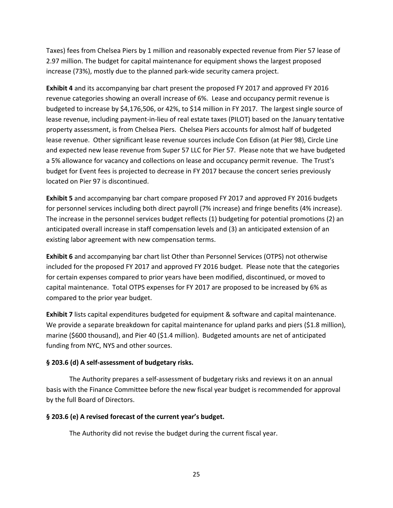Taxes) fees from Chelsea Piers by 1 million and reasonably expected revenue from Pier 57 lease of 2.97 million. The budget for capital maintenance for equipment shows the largest proposed increase (73%), mostly due to the planned park-wide security camera project.

**Exhibit 4** and its accompanying bar chart present the proposed FY 2017 and approved FY 2016 revenue categories showing an overall increase of 6%. Lease and occupancy permit revenue is budgeted to increase by \$4,176,506, or 42%, to \$14 million in FY 2017. The largest single source of lease revenue, including payment-in-lieu of real estate taxes (PILOT) based on the January tentative property assessment, is from Chelsea Piers. Chelsea Piers accounts for almost half of budgeted lease revenue. Other significant lease revenue sources include Con Edison (at Pier 98), Circle Line and expected new lease revenue from Super 57 LLC for Pier 57. Please note that we have budgeted a 5% allowance for vacancy and collections on lease and occupancy permit revenue. The Trust's budget for Event fees is projected to decrease in FY 2017 because the concert series previously located on Pier 97 is discontinued.

**Exhibit 5** and accompanying bar chart compare proposed FY 2017 and approved FY 2016 budgets for personnel services including both direct payroll (7% increase) and fringe benefits (4% increase). The increase in the personnel services budget reflects (1) budgeting for potential promotions (2) an anticipated overall increase in staff compensation levels and (3) an anticipated extension of an existing labor agreement with new compensation terms.

**Exhibit 6** and accompanying bar chart list Other than Personnel Services (OTPS) not otherwise included for the proposed FY 2017 and approved FY 2016 budget. Please note that the categories for certain expenses compared to prior years have been modified, discontinued, or moved to capital maintenance. Total OTPS expenses for FY 2017 are proposed to be increased by 6% as compared to the prior year budget.

**Exhibit 7** lists capital expenditures budgeted for equipment & software and capital maintenance. We provide a separate breakdown for capital maintenance for upland parks and piers (\$1.8 million), marine (\$600 thousand), and Pier 40 (\$1.4 million). Budgeted amounts are net of anticipated funding from NYC, NYS and other sources.

#### **§ 203.6 (d) A self-assessment of budgetary risks.**

The Authority prepares a self-assessment of budgetary risks and reviews it on an annual basis with the Finance Committee before the new fiscal year budget is recommended for approval by the full Board of Directors.

#### **§ 203.6 (e) A revised forecast of the current year's budget.**

The Authority did not revise the budget during the current fiscal year.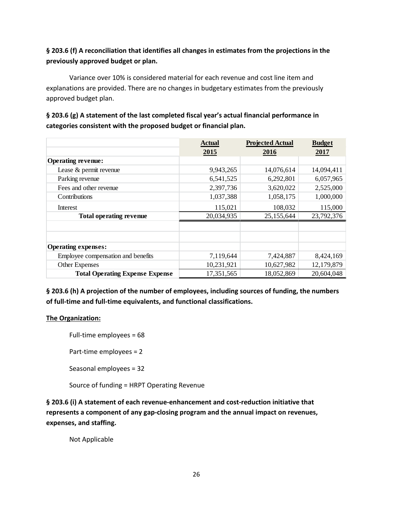# **§ 203.6 (f) A reconciliation that identifies all changes in estimates from the projections in the previously approved budget or plan.**

Variance over 10% is considered material for each revenue and cost line item and explanations are provided. There are no changes in budgetary estimates from the previously approved budget plan.

# **§ 203.6 (g) A statement of the last completed fiscal year's actual financial performance in categories consistent with the proposed budget or financial plan.**

|                                        | <b>Actual</b> | <b>Projected Actual</b> | <b>Budget</b> |
|----------------------------------------|---------------|-------------------------|---------------|
|                                        | 2015          | 2016                    | 2017          |
| <b>Operating revenue:</b>              |               |                         |               |
| Lease & permit revenue                 | 9,943,265     | 14,076,614              | 14,094,411    |
| Parking revenue                        | 6,541,525     | 6,292,801               | 6,057,965     |
| Fees and other revenue                 | 2,397,736     | 3,620,022               | 2,525,000     |
| Contributions                          | 1,037,388     | 1,058,175               | 1,000,000     |
| Interest                               | 115,021       | 108,032                 | 115,000       |
| <b>Total operating revenue</b>         | 20,034,935    | 25,155,644              | 23,792,376    |
|                                        |               |                         |               |
|                                        |               |                         |               |
| <b>Operating expenses:</b>             |               |                         |               |
| Employee compensation and benefits     | 7,119,644     | 7,424,887               | 8,424,169     |
| Other Expenses                         | 10,231,921    | 10,627,982              | 12,179,879    |
| <b>Total Operating Expense Expense</b> | 17,351,565    | 18,052,869              | 20,604,048    |

**§ 203.6 (h) A projection of the number of employees, including sources of funding, the numbers of full-time and full-time equivalents, and functional classifications.**

#### **The Organization:**

Full-time employees = 68

Part-time employees = 2

Seasonal employees = 32

Source of funding = HRPT Operating Revenue

**§ 203.6 (i) A statement of each revenue-enhancement and cost-reduction initiative that represents a component of any gap-closing program and the annual impact on revenues, expenses, and staffing.**

Not Applicable